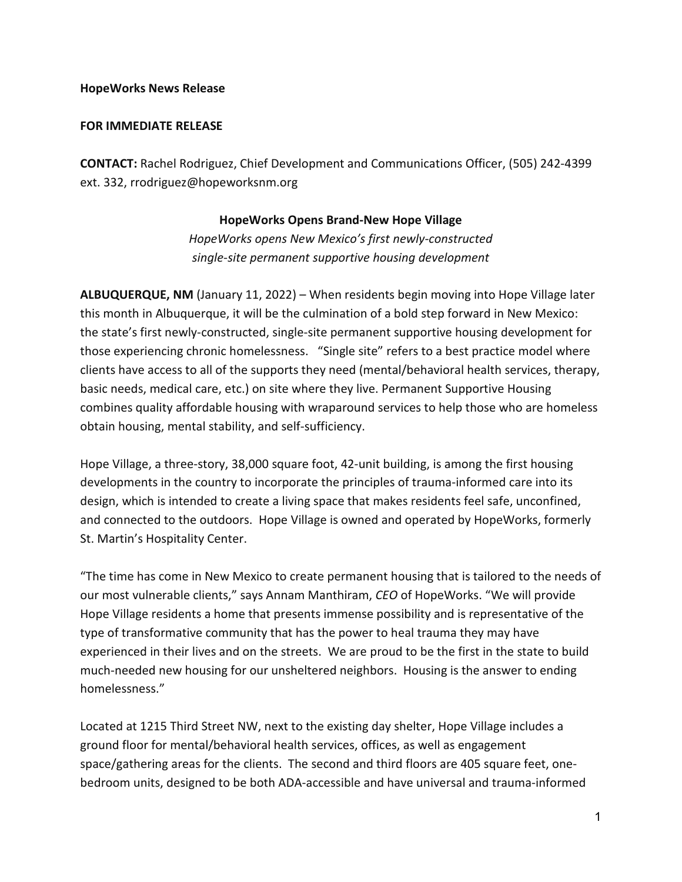## **HopeWorks News Release**

## **FOR IMMEDIATE RELEASE**

**CONTACT:** Rachel Rodriguez, Chief Development and Communications Officer, (505) 242-4399 ext. 332, rrodriguez@hopeworksnm.org

## **HopeWorks Opens Brand-New Hope Village**

*HopeWorks opens New Mexico's first newly-constructed single-site permanent supportive housing development*

**ALBUQUERQUE, NM** (January 11, 2022) – When residents begin moving into Hope Village later this month in Albuquerque, it will be the culmination of a bold step forward in New Mexico: the state's first newly-constructed, single-site permanent supportive housing development for those experiencing chronic homelessness. "Single site" refers to a best practice model where clients have access to all of the supports they need (mental/behavioral health services, therapy, basic needs, medical care, etc.) on site where they live. Permanent Supportive Housing combines quality affordable housing with wraparound services to help those who are homeless obtain housing, mental stability, and self-sufficiency.

Hope Village, a three-story, 38,000 square foot, 42-unit building, is among the first housing developments in the country to incorporate the principles of trauma-informed care into its design, which is intended to create a living space that makes residents feel safe, unconfined, and connected to the outdoors. Hope Village is owned and operated by HopeWorks, formerly St. Martin's Hospitality Center.

"The time has come in New Mexico to create permanent housing that is tailored to the needs of our most vulnerable clients," says Annam Manthiram, *CEO* of HopeWorks. "We will provide Hope Village residents a home that presents immense possibility and is representative of the type of transformative community that has the power to heal trauma they may have experienced in their lives and on the streets. We are proud to be the first in the state to build much-needed new housing for our unsheltered neighbors. Housing is the answer to ending homelessness."

Located at 1215 Third Street NW, next to the existing day shelter, Hope Village includes a ground floor for mental/behavioral health services, offices, as well as engagement space/gathering areas for the clients. The second and third floors are 405 square feet, onebedroom units, designed to be both ADA-accessible and have universal and trauma-informed